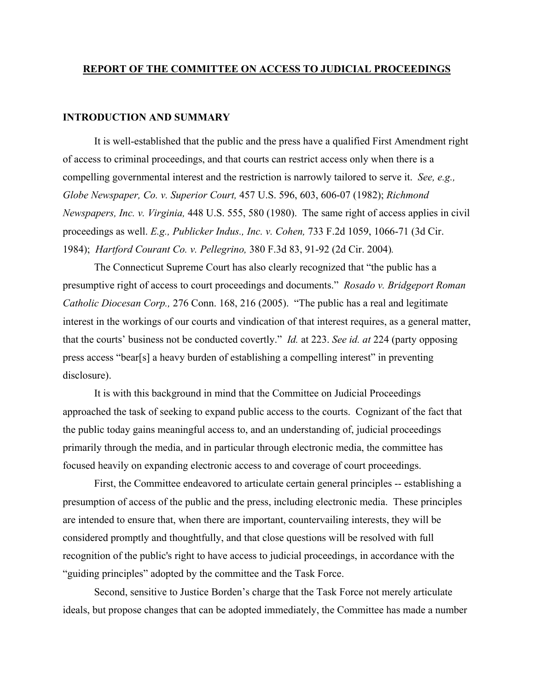#### **REPORT OF THE COMMITTEE ON ACCESS TO JUDICIAL PROCEEDINGS**

#### **INTRODUCTION AND SUMMARY**

It is well-established that the public and the press have a qualified First Amendment right of access to criminal proceedings, and that courts can restrict access only when there is a compelling governmental interest and the restriction is narrowly tailored to serve it. *See, e.g., Globe Newspaper, Co. v. Superior Court,* 457 U.S. 596, 603, 606-07 (1982); *Richmond Newspapers, Inc. v. Virginia,* 448 U.S. 555, 580 (1980). The same right of access applies in civil proceedings as well. *E.g., Publicker Indus., Inc. v. Cohen,* 733 F.2d 1059, 1066-71 (3d Cir. 1984); *Hartford Courant Co. v. Pellegrino,* 380 F.3d 83, 91-92 (2d Cir. 2004)*.* 

The Connecticut Supreme Court has also clearly recognized that "the public has a presumptive right of access to court proceedings and documents." *Rosado v. Bridgeport Roman Catholic Diocesan Corp.,* 276 Conn. 168, 216 (2005). "The public has a real and legitimate interest in the workings of our courts and vindication of that interest requires, as a general matter, that the courts' business not be conducted covertly." *Id.* at 223. *See id. at* 224 (party opposing press access "bear[s] a heavy burden of establishing a compelling interest" in preventing disclosure).

 It is with this background in mind that the Committee on Judicial Proceedings approached the task of seeking to expand public access to the courts. Cognizant of the fact that the public today gains meaningful access to, and an understanding of, judicial proceedings primarily through the media, and in particular through electronic media, the committee has focused heavily on expanding electronic access to and coverage of court proceedings.

 First, the Committee endeavored to articulate certain general principles -- establishing a presumption of access of the public and the press, including electronic media. These principles are intended to ensure that, when there are important, countervailing interests, they will be considered promptly and thoughtfully, and that close questions will be resolved with full recognition of the public's right to have access to judicial proceedings, in accordance with the "guiding principles" adopted by the committee and the Task Force.

 Second, sensitive to Justice Borden's charge that the Task Force not merely articulate ideals, but propose changes that can be adopted immediately, the Committee has made a number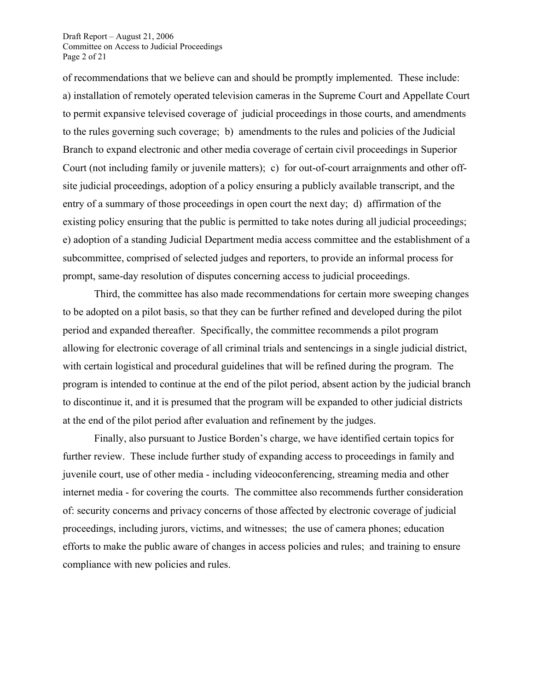Draft Report – August 21, 2006 Committee on Access to Judicial Proceedings Page 2 of 21

of recommendations that we believe can and should be promptly implemented. These include: a) installation of remotely operated television cameras in the Supreme Court and Appellate Court to permit expansive televised coverage of judicial proceedings in those courts, and amendments to the rules governing such coverage; b) amendments to the rules and policies of the Judicial Branch to expand electronic and other media coverage of certain civil proceedings in Superior Court (not including family or juvenile matters); c) for out-of-court arraignments and other offsite judicial proceedings, adoption of a policy ensuring a publicly available transcript, and the entry of a summary of those proceedings in open court the next day; d) affirmation of the existing policy ensuring that the public is permitted to take notes during all judicial proceedings; e) adoption of a standing Judicial Department media access committee and the establishment of a subcommittee, comprised of selected judges and reporters, to provide an informal process for prompt, same-day resolution of disputes concerning access to judicial proceedings.

 Third, the committee has also made recommendations for certain more sweeping changes to be adopted on a pilot basis, so that they can be further refined and developed during the pilot period and expanded thereafter. Specifically, the committee recommends a pilot program allowing for electronic coverage of all criminal trials and sentencings in a single judicial district, with certain logistical and procedural guidelines that will be refined during the program. The program is intended to continue at the end of the pilot period, absent action by the judicial branch to discontinue it, and it is presumed that the program will be expanded to other judicial districts at the end of the pilot period after evaluation and refinement by the judges.

 Finally, also pursuant to Justice Borden's charge, we have identified certain topics for further review. These include further study of expanding access to proceedings in family and juvenile court, use of other media - including videoconferencing, streaming media and other internet media - for covering the courts. The committee also recommends further consideration of: security concerns and privacy concerns of those affected by electronic coverage of judicial proceedings, including jurors, victims, and witnesses; the use of camera phones; education efforts to make the public aware of changes in access policies and rules; and training to ensure compliance with new policies and rules.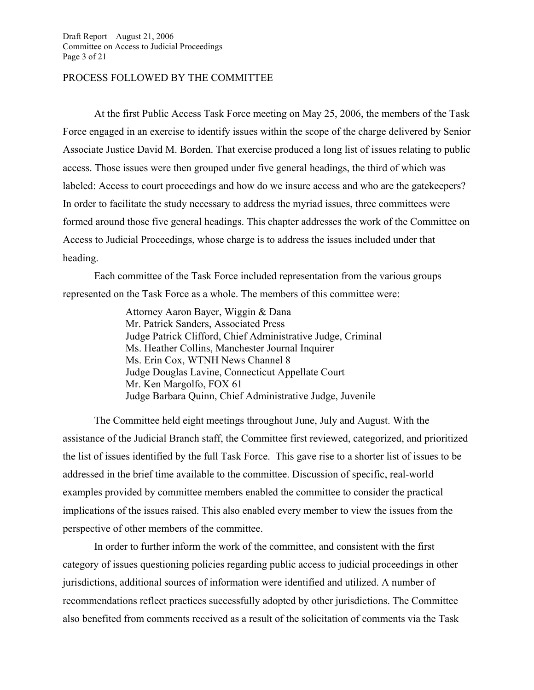#### PROCESS FOLLOWED BY THE COMMITTEE

At the first Public Access Task Force meeting on May 25, 2006, the members of the Task Force engaged in an exercise to identify issues within the scope of the charge delivered by Senior Associate Justice David M. Borden. That exercise produced a long list of issues relating to public access. Those issues were then grouped under five general headings, the third of which was labeled: Access to court proceedings and how do we insure access and who are the gatekeepers? In order to facilitate the study necessary to address the myriad issues, three committees were formed around those five general headings. This chapter addresses the work of the Committee on Access to Judicial Proceedings, whose charge is to address the issues included under that heading.

 Each committee of the Task Force included representation from the various groups represented on the Task Force as a whole. The members of this committee were:

> Attorney Aaron Bayer, Wiggin & Dana Mr. Patrick Sanders, Associated Press Judge Patrick Clifford, Chief Administrative Judge, Criminal Ms. Heather Collins, Manchester Journal Inquirer Ms. Erin Cox, WTNH News Channel 8 Judge Douglas Lavine, Connecticut Appellate Court Mr. Ken Margolfo, FOX 61 Judge Barbara Quinn, Chief Administrative Judge, Juvenile

 The Committee held eight meetings throughout June, July and August. With the assistance of the Judicial Branch staff, the Committee first reviewed, categorized, and prioritized the list of issues identified by the full Task Force. This gave rise to a shorter list of issues to be addressed in the brief time available to the committee. Discussion of specific, real-world examples provided by committee members enabled the committee to consider the practical implications of the issues raised. This also enabled every member to view the issues from the perspective of other members of the committee.

 In order to further inform the work of the committee, and consistent with the first category of issues questioning policies regarding public access to judicial proceedings in other jurisdictions, additional sources of information were identified and utilized. A number of recommendations reflect practices successfully adopted by other jurisdictions. The Committee also benefited from comments received as a result of the solicitation of comments via the Task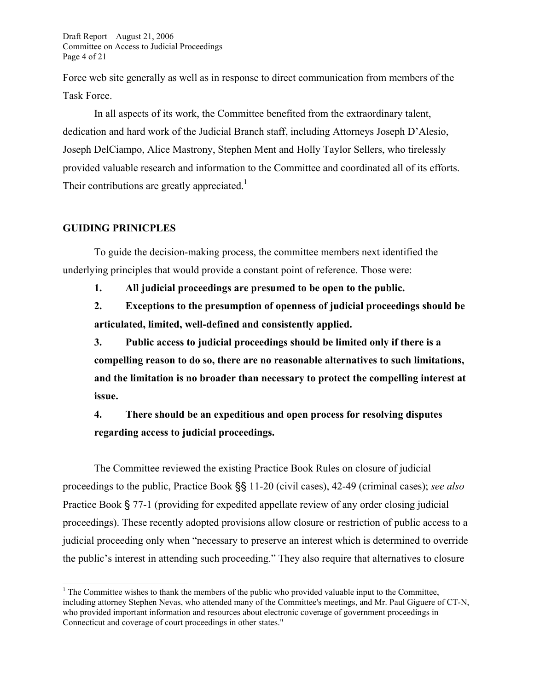Draft Report – August 21, 2006 Committee on Access to Judicial Proceedings Page 4 of 21

Force web site generally as well as in response to direct communication from members of the Task Force.

 In all aspects of its work, the Committee benefited from the extraordinary talent, dedication and hard work of the Judicial Branch staff, including Attorneys Joseph D'Alesio, Joseph DelCiampo, Alice Mastrony, Stephen Ment and Holly Taylor Sellers, who tirelessly provided valuable research and information to the Committee and coordinated all of its efforts. Their contributions are greatly appreciated.<sup>1</sup>

#### **GUIDING PRINICPLES**

 $\overline{a}$ 

To guide the decision-making process, the committee members next identified the underlying principles that would provide a constant point of reference. Those were:

**1. All judicial proceedings are presumed to be open to the public.** 

**2. Exceptions to the presumption of openness of judicial proceedings should be articulated, limited, well-defined and consistently applied.** 

**3. Public access to judicial proceedings should be limited only if there is a compelling reason to do so, there are no reasonable alternatives to such limitations, and the limitation is no broader than necessary to protect the compelling interest at issue.** 

**4. There should be an expeditious and open process for resolving disputes regarding access to judicial proceedings.** 

 The Committee reviewed the existing Practice Book Rules on closure of judicial proceedings to the public, Practice Book §§ 11-20 (civil cases), 42-49 (criminal cases); *see also*  Practice Book § 77-1 (providing for expedited appellate review of any order closing judicial proceedings). These recently adopted provisions allow closure or restriction of public access to a judicial proceeding only when "necessary to preserve an interest which is determined to override the public's interest in attending such proceeding." They also require that alternatives to closure

 $<sup>1</sup>$  The Committee wishes to thank the members of the public who provided valuable input to the Committee,</sup> including attorney Stephen Nevas, who attended many of the Committee's meetings, and Mr. Paul Giguere of CT-N, who provided important information and resources about electronic coverage of government proceedings in Connecticut and coverage of court proceedings in other states."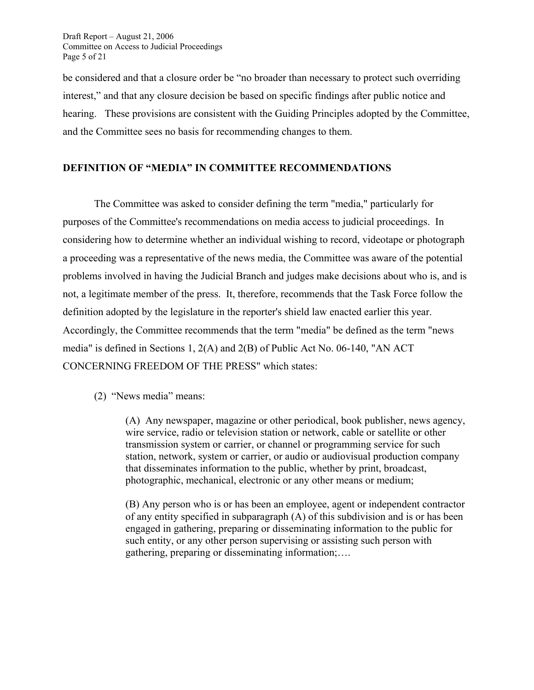Draft Report – August 21, 2006 Committee on Access to Judicial Proceedings Page 5 of 21

be considered and that a closure order be "no broader than necessary to protect such overriding interest," and that any closure decision be based on specific findings after public notice and hearing. These provisions are consistent with the Guiding Principles adopted by the Committee, and the Committee sees no basis for recommending changes to them.

#### **DEFINITION OF "MEDIA" IN COMMITTEE RECOMMENDATIONS**

The Committee was asked to consider defining the term "media," particularly for purposes of the Committee's recommendations on media access to judicial proceedings. In considering how to determine whether an individual wishing to record, videotape or photograph a proceeding was a representative of the news media, the Committee was aware of the potential problems involved in having the Judicial Branch and judges make decisions about who is, and is not, a legitimate member of the press. It, therefore, recommends that the Task Force follow the definition adopted by the legislature in the reporter's shield law enacted earlier this year. Accordingly, the Committee recommends that the term "media" be defined as the term "news media" is defined in Sections 1, 2(A) and 2(B) of Public Act No. 06-140, "AN ACT CONCERNING FREEDOM OF THE PRESS" which states:

#### (2) "News media" means:

(A) Any newspaper, magazine or other periodical, book publisher, news agency, wire service, radio or television station or network, cable or satellite or other transmission system or carrier, or channel or programming service for such station, network, system or carrier, or audio or audiovisual production company that disseminates information to the public, whether by print, broadcast, photographic, mechanical, electronic or any other means or medium;

(B) Any person who is or has been an employee, agent or independent contractor of any entity specified in subparagraph (A) of this subdivision and is or has been engaged in gathering, preparing or disseminating information to the public for such entity, or any other person supervising or assisting such person with gathering, preparing or disseminating information;….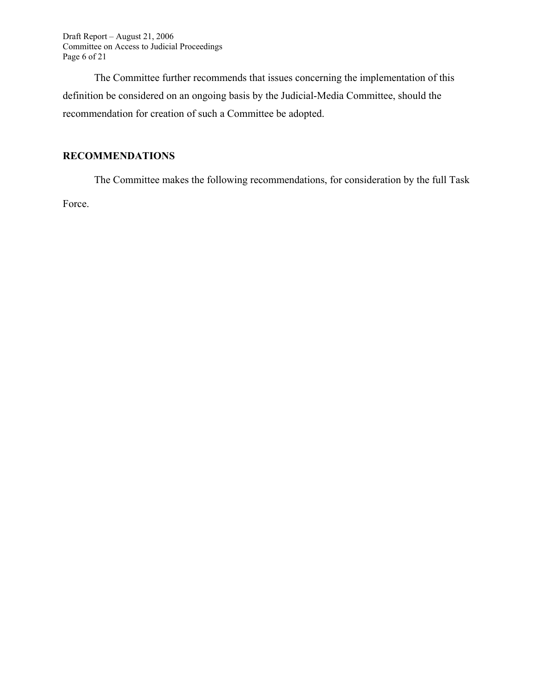Draft Report – August 21, 2006 Committee on Access to Judicial Proceedings Page 6 of 21

The Committee further recommends that issues concerning the implementation of this definition be considered on an ongoing basis by the Judicial-Media Committee, should the recommendation for creation of such a Committee be adopted.

### **RECOMMENDATIONS**

The Committee makes the following recommendations, for consideration by the full Task Force.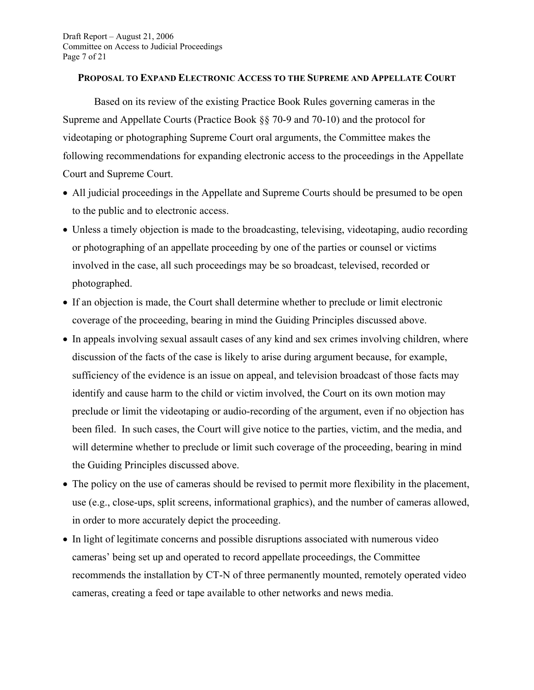#### **PROPOSAL TO EXPAND ELECTRONIC ACCESS TO THE SUPREME AND APPELLATE COURT**

Based on its review of the existing Practice Book Rules governing cameras in the Supreme and Appellate Courts (Practice Book §§ 70-9 and 70-10) and the protocol for videotaping or photographing Supreme Court oral arguments, the Committee makes the following recommendations for expanding electronic access to the proceedings in the Appellate Court and Supreme Court.

- All judicial proceedings in the Appellate and Supreme Courts should be presumed to be open to the public and to electronic access.
- Unless a timely objection is made to the broadcasting, televising, videotaping, audio recording or photographing of an appellate proceeding by one of the parties or counsel or victims involved in the case, all such proceedings may be so broadcast, televised, recorded or photographed.
- If an objection is made, the Court shall determine whether to preclude or limit electronic coverage of the proceeding, bearing in mind the Guiding Principles discussed above.
- In appeals involving sexual assault cases of any kind and sex crimes involving children, where discussion of the facts of the case is likely to arise during argument because, for example, sufficiency of the evidence is an issue on appeal, and television broadcast of those facts may identify and cause harm to the child or victim involved, the Court on its own motion may preclude or limit the videotaping or audio-recording of the argument, even if no objection has been filed. In such cases, the Court will give notice to the parties, victim, and the media, and will determine whether to preclude or limit such coverage of the proceeding, bearing in mind the Guiding Principles discussed above.
- The policy on the use of cameras should be revised to permit more flexibility in the placement, use (e.g., close-ups, split screens, informational graphics), and the number of cameras allowed, in order to more accurately depict the proceeding.
- In light of legitimate concerns and possible disruptions associated with numerous video cameras' being set up and operated to record appellate proceedings, the Committee recommends the installation by CT-N of three permanently mounted, remotely operated video cameras, creating a feed or tape available to other networks and news media.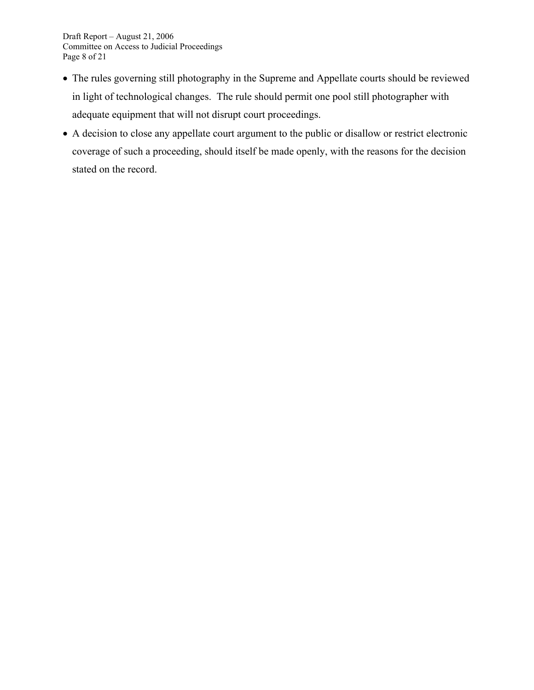- The rules governing still photography in the Supreme and Appellate courts should be reviewed in light of technological changes. The rule should permit one pool still photographer with adequate equipment that will not disrupt court proceedings.
- A decision to close any appellate court argument to the public or disallow or restrict electronic coverage of such a proceeding, should itself be made openly, with the reasons for the decision stated on the record.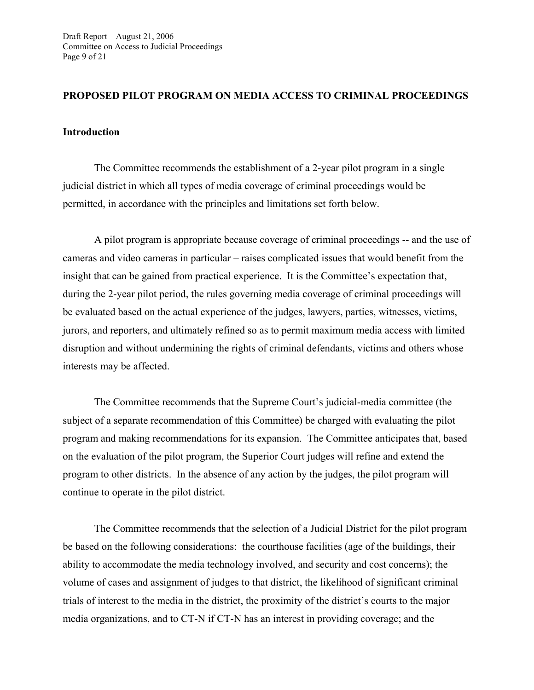#### **PROPOSED PILOT PROGRAM ON MEDIA ACCESS TO CRIMINAL PROCEEDINGS**

#### **Introduction**

The Committee recommends the establishment of a 2-year pilot program in a single judicial district in which all types of media coverage of criminal proceedings would be permitted, in accordance with the principles and limitations set forth below.

A pilot program is appropriate because coverage of criminal proceedings -- and the use of cameras and video cameras in particular – raises complicated issues that would benefit from the insight that can be gained from practical experience. It is the Committee's expectation that, during the 2-year pilot period, the rules governing media coverage of criminal proceedings will be evaluated based on the actual experience of the judges, lawyers, parties, witnesses, victims, jurors, and reporters, and ultimately refined so as to permit maximum media access with limited disruption and without undermining the rights of criminal defendants, victims and others whose interests may be affected.

The Committee recommends that the Supreme Court's judicial-media committee (the subject of a separate recommendation of this Committee) be charged with evaluating the pilot program and making recommendations for its expansion. The Committee anticipates that, based on the evaluation of the pilot program, the Superior Court judges will refine and extend the program to other districts. In the absence of any action by the judges, the pilot program will continue to operate in the pilot district.

The Committee recommends that the selection of a Judicial District for the pilot program be based on the following considerations: the courthouse facilities (age of the buildings, their ability to accommodate the media technology involved, and security and cost concerns); the volume of cases and assignment of judges to that district, the likelihood of significant criminal trials of interest to the media in the district, the proximity of the district's courts to the major media organizations, and to CT-N if CT-N has an interest in providing coverage; and the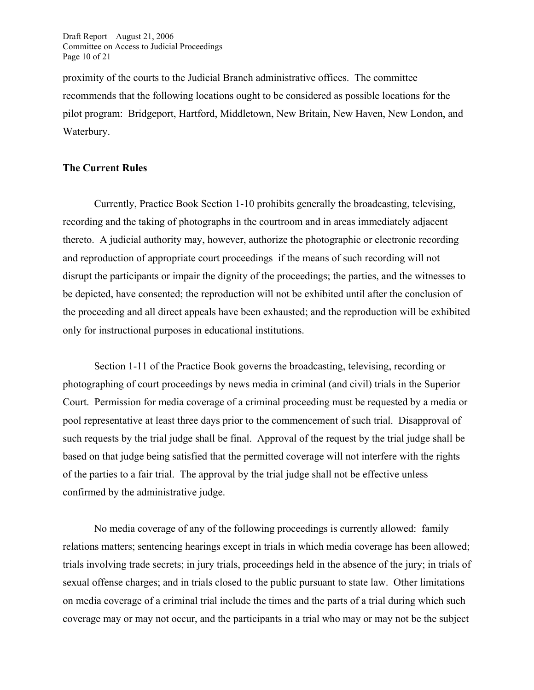Draft Report – August 21, 2006 Committee on Access to Judicial Proceedings Page 10 of 21

proximity of the courts to the Judicial Branch administrative offices. The committee recommends that the following locations ought to be considered as possible locations for the pilot program: Bridgeport, Hartford, Middletown, New Britain, New Haven, New London, and Waterbury.

#### **The Current Rules**

 Currently, Practice Book Section 1-10 prohibits generally the broadcasting, televising, recording and the taking of photographs in the courtroom and in areas immediately adjacent thereto. A judicial authority may, however, authorize the photographic or electronic recording and reproduction of appropriate court proceedings if the means of such recording will not disrupt the participants or impair the dignity of the proceedings; the parties, and the witnesses to be depicted, have consented; the reproduction will not be exhibited until after the conclusion of the proceeding and all direct appeals have been exhausted; and the reproduction will be exhibited only for instructional purposes in educational institutions.

 Section 1-11 of the Practice Book governs the broadcasting, televising, recording or photographing of court proceedings by news media in criminal (and civil) trials in the Superior Court. Permission for media coverage of a criminal proceeding must be requested by a media or pool representative at least three days prior to the commencement of such trial. Disapproval of such requests by the trial judge shall be final. Approval of the request by the trial judge shall be based on that judge being satisfied that the permitted coverage will not interfere with the rights of the parties to a fair trial. The approval by the trial judge shall not be effective unless confirmed by the administrative judge.

 No media coverage of any of the following proceedings is currently allowed: family relations matters; sentencing hearings except in trials in which media coverage has been allowed; trials involving trade secrets; in jury trials, proceedings held in the absence of the jury; in trials of sexual offense charges; and in trials closed to the public pursuant to state law. Other limitations on media coverage of a criminal trial include the times and the parts of a trial during which such coverage may or may not occur, and the participants in a trial who may or may not be the subject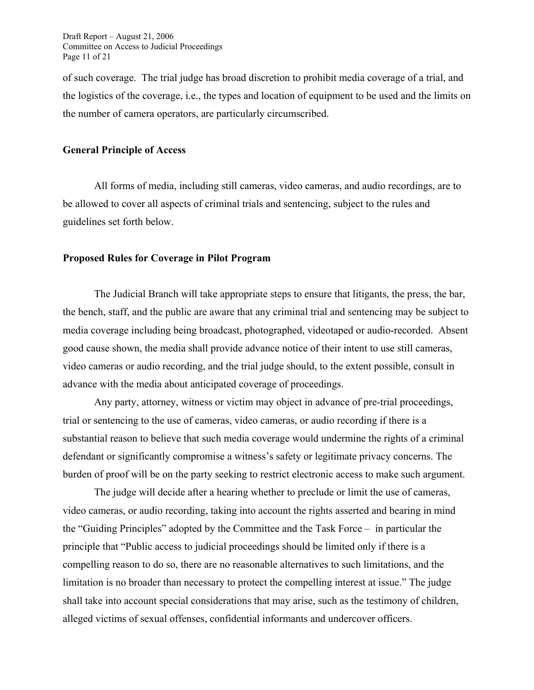of such coverage. The trial judge has broad discretion to prohibit media coverage of a trial, and the logistics of the coverage, i.e., the types and location of equipment to be used and the limits on the number of camera operators, are particularly circumscribed.

#### **General Principle of Access**

All forms of media, including still cameras, video cameras, and audio recordings, are to be allowed to cover all aspects of criminal trials and sentencing, subject to the rules and guidelines set forth below.

#### **Proposed Rules for Coverage in Pilot Program**

The Judicial Branch will take appropriate steps to ensure that litigants, the press, the bar, the bench, staff, and the public are aware that any criminal trial and sentencing may be subject to media coverage including being broadcast, photographed, videotaped or audio-recorded. Absent good cause shown, the media shall provide advance notice of their intent to use still cameras, video cameras or audio recording, and the trial judge should, to the extent possible, consult in advance with the media about anticipated coverage of proceedings.

Any party, attorney, witness or victim may object in advance of pre-trial proceedings, trial or sentencing to the use of cameras, video cameras, or audio recording if there is a substantial reason to believe that such media coverage would undermine the rights of a criminal defendant or significantly compromise a witness's safety or legitimate privacy concerns. The burden of proof will be on the party seeking to restrict electronic access to make such argument.

The judge will decide after a hearing whether to preclude or limit the use of cameras, video cameras, or audio recording, taking into account the rights asserted and bearing in mind the "Guiding Principles" adopted by the Committee and the Task Force – in particular the principle that "Public access to judicial proceedings should be limited only if there is a compelling reason to do so, there are no reasonable alternatives to such limitations, and the limitation is no broader than necessary to protect the compelling interest at issue." The judge shall take into account special considerations that may arise, such as the testimony of children, alleged victims of sexual offenses, confidential informants and undercover officers.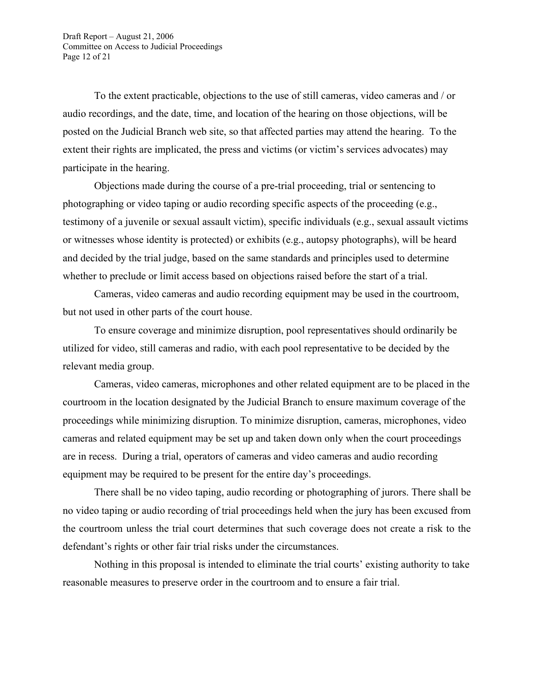To the extent practicable, objections to the use of still cameras, video cameras and / or audio recordings, and the date, time, and location of the hearing on those objections, will be posted on the Judicial Branch web site, so that affected parties may attend the hearing. To the extent their rights are implicated, the press and victims (or victim's services advocates) may participate in the hearing.

Objections made during the course of a pre-trial proceeding, trial or sentencing to photographing or video taping or audio recording specific aspects of the proceeding (e.g., testimony of a juvenile or sexual assault victim), specific individuals (e.g., sexual assault victims or witnesses whose identity is protected) or exhibits (e.g., autopsy photographs), will be heard and decided by the trial judge, based on the same standards and principles used to determine whether to preclude or limit access based on objections raised before the start of a trial.

Cameras, video cameras and audio recording equipment may be used in the courtroom, but not used in other parts of the court house.

To ensure coverage and minimize disruption, pool representatives should ordinarily be utilized for video, still cameras and radio, with each pool representative to be decided by the relevant media group.

Cameras, video cameras, microphones and other related equipment are to be placed in the courtroom in the location designated by the Judicial Branch to ensure maximum coverage of the proceedings while minimizing disruption. To minimize disruption, cameras, microphones, video cameras and related equipment may be set up and taken down only when the court proceedings are in recess. During a trial, operators of cameras and video cameras and audio recording equipment may be required to be present for the entire day's proceedings.

There shall be no video taping, audio recording or photographing of jurors. There shall be no video taping or audio recording of trial proceedings held when the jury has been excused from the courtroom unless the trial court determines that such coverage does not create a risk to the defendant's rights or other fair trial risks under the circumstances.

Nothing in this proposal is intended to eliminate the trial courts' existing authority to take reasonable measures to preserve order in the courtroom and to ensure a fair trial.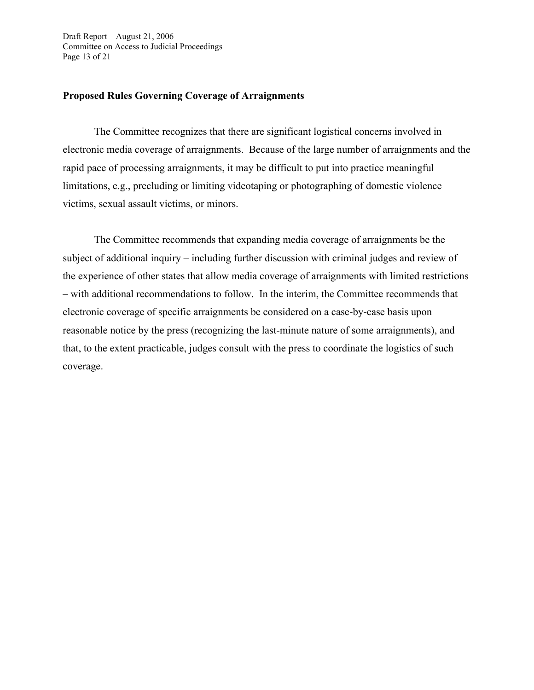Draft Report – August 21, 2006 Committee on Access to Judicial Proceedings Page 13 of 21

#### **Proposed Rules Governing Coverage of Arraignments**

The Committee recognizes that there are significant logistical concerns involved in electronic media coverage of arraignments. Because of the large number of arraignments and the rapid pace of processing arraignments, it may be difficult to put into practice meaningful limitations, e.g., precluding or limiting videotaping or photographing of domestic violence victims, sexual assault victims, or minors.

The Committee recommends that expanding media coverage of arraignments be the subject of additional inquiry – including further discussion with criminal judges and review of the experience of other states that allow media coverage of arraignments with limited restrictions – with additional recommendations to follow. In the interim, the Committee recommends that electronic coverage of specific arraignments be considered on a case-by-case basis upon reasonable notice by the press (recognizing the last-minute nature of some arraignments), and that, to the extent practicable, judges consult with the press to coordinate the logistics of such coverage.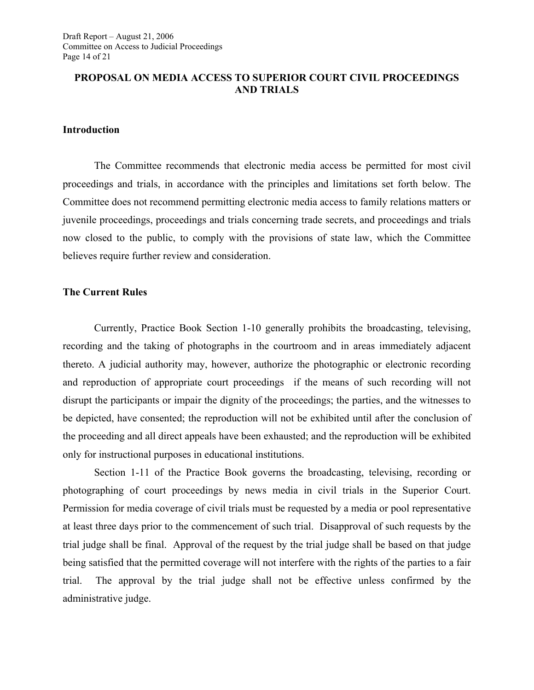#### **PROPOSAL ON MEDIA ACCESS TO SUPERIOR COURT CIVIL PROCEEDINGS AND TRIALS**

#### **Introduction**

The Committee recommends that electronic media access be permitted for most civil proceedings and trials, in accordance with the principles and limitations set forth below. The Committee does not recommend permitting electronic media access to family relations matters or juvenile proceedings, proceedings and trials concerning trade secrets, and proceedings and trials now closed to the public, to comply with the provisions of state law, which the Committee believes require further review and consideration.

#### **The Current Rules**

Currently, Practice Book Section 1-10 generally prohibits the broadcasting, televising, recording and the taking of photographs in the courtroom and in areas immediately adjacent thereto. A judicial authority may, however, authorize the photographic or electronic recording and reproduction of appropriate court proceedings if the means of such recording will not disrupt the participants or impair the dignity of the proceedings; the parties, and the witnesses to be depicted, have consented; the reproduction will not be exhibited until after the conclusion of the proceeding and all direct appeals have been exhausted; and the reproduction will be exhibited only for instructional purposes in educational institutions.

Section 1-11 of the Practice Book governs the broadcasting, televising, recording or photographing of court proceedings by news media in civil trials in the Superior Court. Permission for media coverage of civil trials must be requested by a media or pool representative at least three days prior to the commencement of such trial. Disapproval of such requests by the trial judge shall be final. Approval of the request by the trial judge shall be based on that judge being satisfied that the permitted coverage will not interfere with the rights of the parties to a fair trial. The approval by the trial judge shall not be effective unless confirmed by the administrative judge.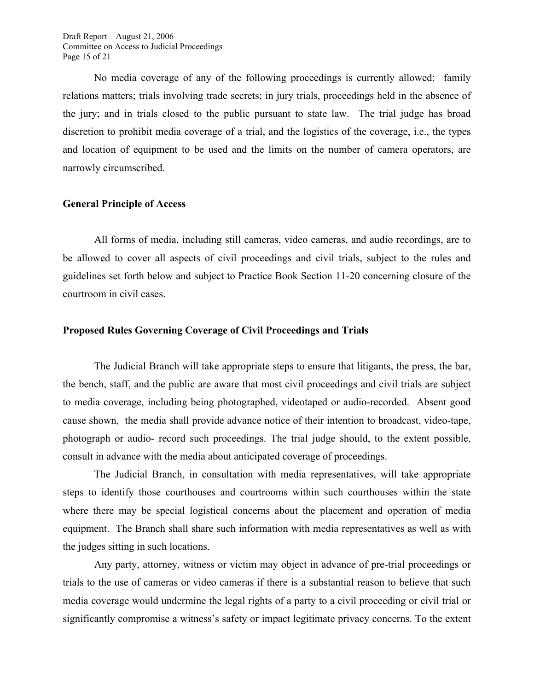Draft Report – August 21, 2006 Committee on Access to Judicial Proceedings Page 15 of 21

No media coverage of any of the following proceedings is currently allowed: family relations matters; trials involving trade secrets; in jury trials, proceedings held in the absence of the jury; and in trials closed to the public pursuant to state law. The trial judge has broad discretion to prohibit media coverage of a trial, and the logistics of the coverage, i.e., the types and location of equipment to be used and the limits on the number of camera operators, are narrowly circumscribed.

#### **General Principle of Access**

All forms of media, including still cameras, video cameras, and audio recordings, are to be allowed to cover all aspects of civil proceedings and civil trials, subject to the rules and guidelines set forth below and subject to Practice Book Section 11-20 concerning closure of the courtroom in civil cases.

#### **Proposed Rules Governing Coverage of Civil Proceedings and Trials**

The Judicial Branch will take appropriate steps to ensure that litigants, the press, the bar, the bench, staff, and the public are aware that most civil proceedings and civil trials are subject to media coverage, including being photographed, videotaped or audio-recorded. Absent good cause shown, the media shall provide advance notice of their intention to broadcast, video-tape, photograph or audio- record such proceedings. The trial judge should, to the extent possible, consult in advance with the media about anticipated coverage of proceedings.

The Judicial Branch, in consultation with media representatives, will take appropriate steps to identify those courthouses and courtrooms within such courthouses within the state where there may be special logistical concerns about the placement and operation of media equipment. The Branch shall share such information with media representatives as well as with the judges sitting in such locations.

Any party, attorney, witness or victim may object in advance of pre-trial proceedings or trials to the use of cameras or video cameras if there is a substantial reason to believe that such media coverage would undermine the legal rights of a party to a civil proceeding or civil trial or significantly compromise a witness's safety or impact legitimate privacy concerns. To the extent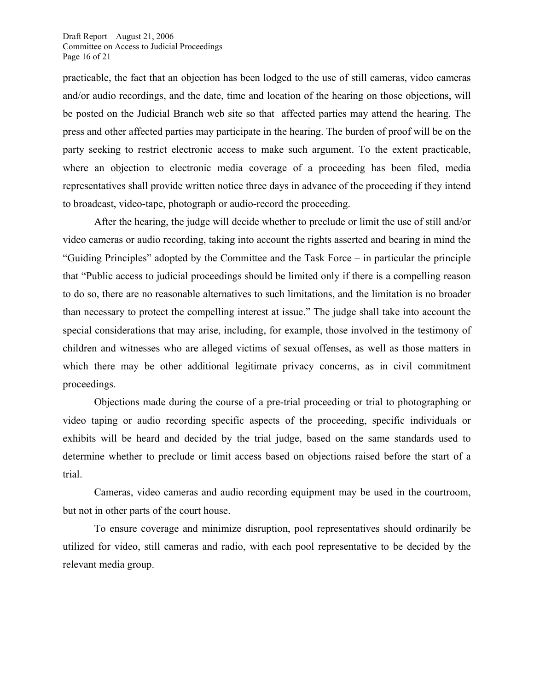practicable, the fact that an objection has been lodged to the use of still cameras, video cameras and/or audio recordings, and the date, time and location of the hearing on those objections, will be posted on the Judicial Branch web site so that affected parties may attend the hearing. The press and other affected parties may participate in the hearing. The burden of proof will be on the party seeking to restrict electronic access to make such argument. To the extent practicable, where an objection to electronic media coverage of a proceeding has been filed, media representatives shall provide written notice three days in advance of the proceeding if they intend to broadcast, video-tape, photograph or audio-record the proceeding.

After the hearing, the judge will decide whether to preclude or limit the use of still and/or video cameras or audio recording, taking into account the rights asserted and bearing in mind the "Guiding Principles" adopted by the Committee and the Task Force – in particular the principle that "Public access to judicial proceedings should be limited only if there is a compelling reason to do so, there are no reasonable alternatives to such limitations, and the limitation is no broader than necessary to protect the compelling interest at issue." The judge shall take into account the special considerations that may arise, including, for example, those involved in the testimony of children and witnesses who are alleged victims of sexual offenses, as well as those matters in which there may be other additional legitimate privacy concerns, as in civil commitment proceedings.

Objections made during the course of a pre-trial proceeding or trial to photographing or video taping or audio recording specific aspects of the proceeding, specific individuals or exhibits will be heard and decided by the trial judge, based on the same standards used to determine whether to preclude or limit access based on objections raised before the start of a trial.

Cameras, video cameras and audio recording equipment may be used in the courtroom, but not in other parts of the court house.

To ensure coverage and minimize disruption, pool representatives should ordinarily be utilized for video, still cameras and radio, with each pool representative to be decided by the relevant media group.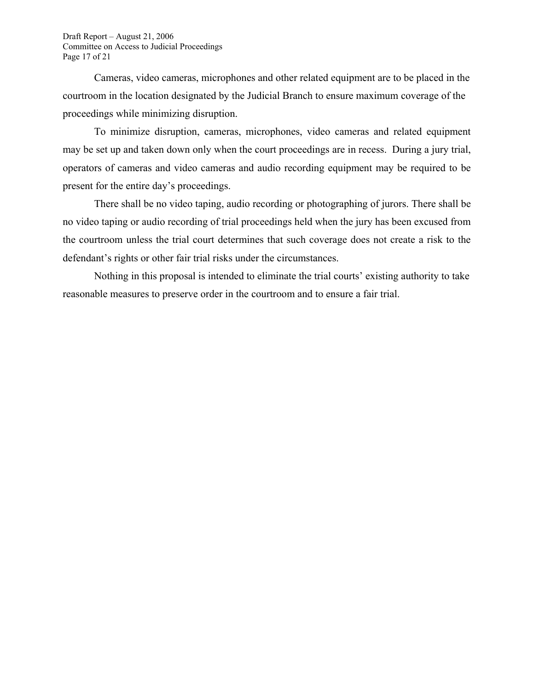Draft Report – August 21, 2006 Committee on Access to Judicial Proceedings Page 17 of 21

Cameras, video cameras, microphones and other related equipment are to be placed in the courtroom in the location designated by the Judicial Branch to ensure maximum coverage of the proceedings while minimizing disruption.

To minimize disruption, cameras, microphones, video cameras and related equipment may be set up and taken down only when the court proceedings are in recess. During a jury trial, operators of cameras and video cameras and audio recording equipment may be required to be present for the entire day's proceedings.

There shall be no video taping, audio recording or photographing of jurors. There shall be no video taping or audio recording of trial proceedings held when the jury has been excused from the courtroom unless the trial court determines that such coverage does not create a risk to the defendant's rights or other fair trial risks under the circumstances.

Nothing in this proposal is intended to eliminate the trial courts' existing authority to take reasonable measures to preserve order in the courtroom and to ensure a fair trial.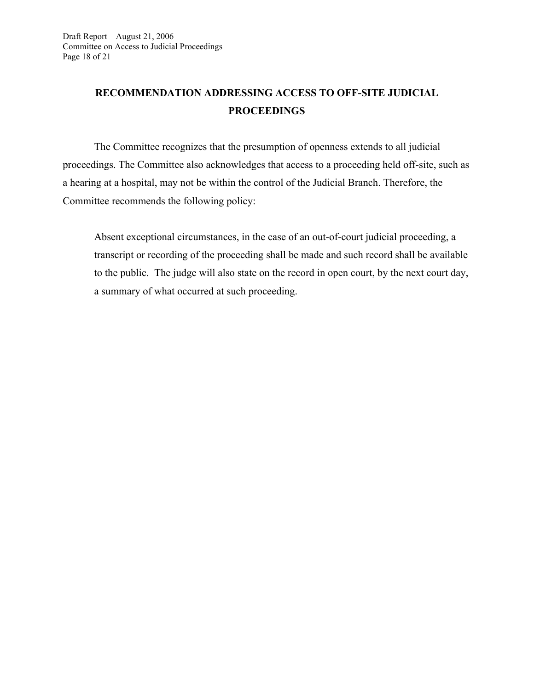## **RECOMMENDATION ADDRESSING ACCESS TO OFF-SITE JUDICIAL PROCEEDINGS**

The Committee recognizes that the presumption of openness extends to all judicial proceedings. The Committee also acknowledges that access to a proceeding held off-site, such as a hearing at a hospital, may not be within the control of the Judicial Branch. Therefore, the Committee recommends the following policy:

Absent exceptional circumstances, in the case of an out-of-court judicial proceeding, a transcript or recording of the proceeding shall be made and such record shall be available to the public. The judge will also state on the record in open court, by the next court day, a summary of what occurred at such proceeding.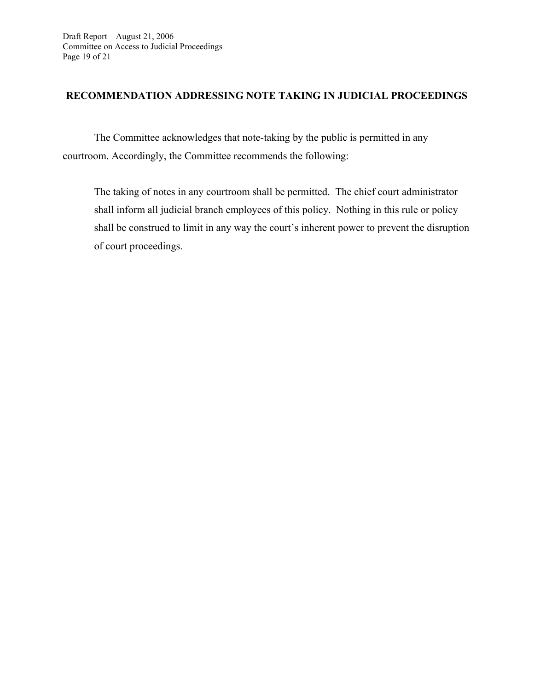#### **RECOMMENDATION ADDRESSING NOTE TAKING IN JUDICIAL PROCEEDINGS**

The Committee acknowledges that note-taking by the public is permitted in any courtroom. Accordingly, the Committee recommends the following:

The taking of notes in any courtroom shall be permitted. The chief court administrator shall inform all judicial branch employees of this policy. Nothing in this rule or policy shall be construed to limit in any way the court's inherent power to prevent the disruption of court proceedings.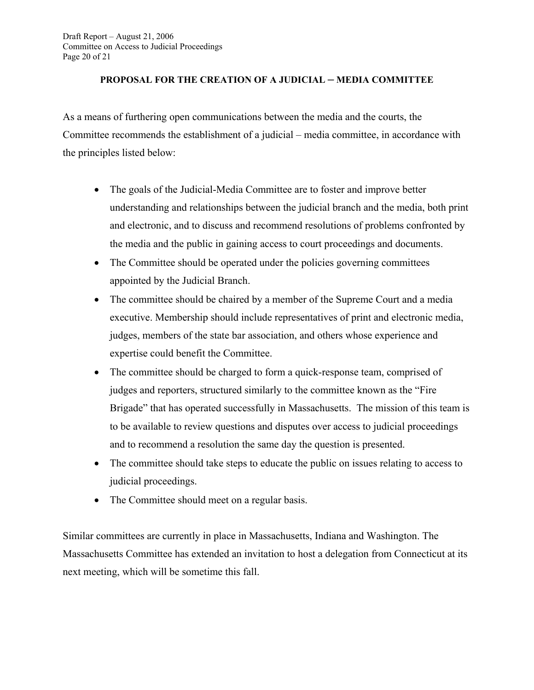#### **PROPOSAL FOR THE CREATION OF A JUDICIAL – MEDIA COMMITTEE**

As a means of furthering open communications between the media and the courts, the Committee recommends the establishment of a judicial – media committee, in accordance with the principles listed below:

- The goals of the Judicial-Media Committee are to foster and improve better understanding and relationships between the judicial branch and the media, both print and electronic, and to discuss and recommend resolutions of problems confronted by the media and the public in gaining access to court proceedings and documents.
- The Committee should be operated under the policies governing committees appointed by the Judicial Branch.
- The committee should be chaired by a member of the Supreme Court and a media executive. Membership should include representatives of print and electronic media, judges, members of the state bar association, and others whose experience and expertise could benefit the Committee.
- The committee should be charged to form a quick-response team, comprised of judges and reporters, structured similarly to the committee known as the "Fire" Brigade" that has operated successfully in Massachusetts. The mission of this team is to be available to review questions and disputes over access to judicial proceedings and to recommend a resolution the same day the question is presented.
- The committee should take steps to educate the public on issues relating to access to judicial proceedings.
- The Committee should meet on a regular basis.

Similar committees are currently in place in Massachusetts, Indiana and Washington. The Massachusetts Committee has extended an invitation to host a delegation from Connecticut at its next meeting, which will be sometime this fall.